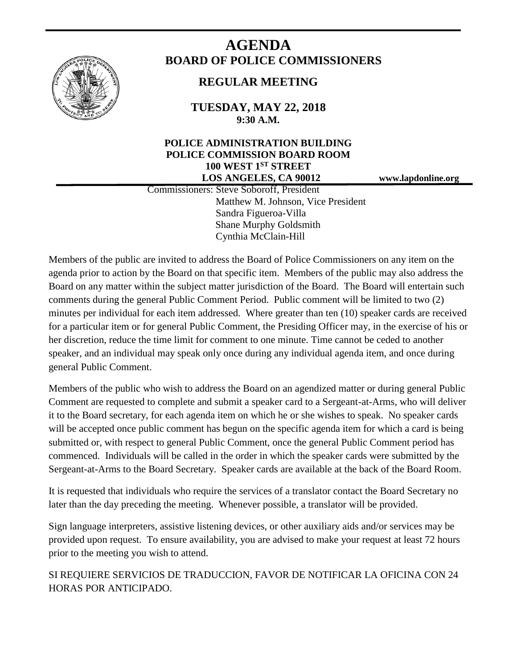

# **AGENDA BOARD OF POLICE COMMISSIONERS**

# **REGULAR MEETING**

**TUESDAY, MAY 22, 2018 9:30 A.M.**

# **POLICE ADMINISTRATION BUILDING POLICE COMMISSION BOARD ROOM 100 WEST 1ST STREET LOS ANGELES, CA 90012 www.lapdonline.org**

 Commissioners: Steve Soboroff, President Matthew M. Johnson, Vice President Sandra Figueroa-Villa Shane Murphy Goldsmith Cynthia McClain-Hill

Members of the public are invited to address the Board of Police Commissioners on any item on the agenda prior to action by the Board on that specific item. Members of the public may also address the Board on any matter within the subject matter jurisdiction of the Board. The Board will entertain such comments during the general Public Comment Period. Public comment will be limited to two (2) minutes per individual for each item addressed. Where greater than ten (10) speaker cards are received for a particular item or for general Public Comment, the Presiding Officer may, in the exercise of his or her discretion, reduce the time limit for comment to one minute. Time cannot be ceded to another speaker, and an individual may speak only once during any individual agenda item, and once during general Public Comment.

Members of the public who wish to address the Board on an agendized matter or during general Public Comment are requested to complete and submit a speaker card to a Sergeant-at-Arms, who will deliver it to the Board secretary, for each agenda item on which he or she wishes to speak. No speaker cards will be accepted once public comment has begun on the specific agenda item for which a card is being submitted or, with respect to general Public Comment, once the general Public Comment period has commenced. Individuals will be called in the order in which the speaker cards were submitted by the Sergeant-at-Arms to the Board Secretary. Speaker cards are available at the back of the Board Room.

It is requested that individuals who require the services of a translator contact the Board Secretary no later than the day preceding the meeting. Whenever possible, a translator will be provided.

Sign language interpreters, assistive listening devices, or other auxiliary aids and/or services may be provided upon request. To ensure availability, you are advised to make your request at least 72 hours prior to the meeting you wish to attend.

SI REQUIERE SERVICIOS DE TRADUCCION, FAVOR DE NOTIFICAR LA OFICINA CON 24 HORAS POR ANTICIPADO.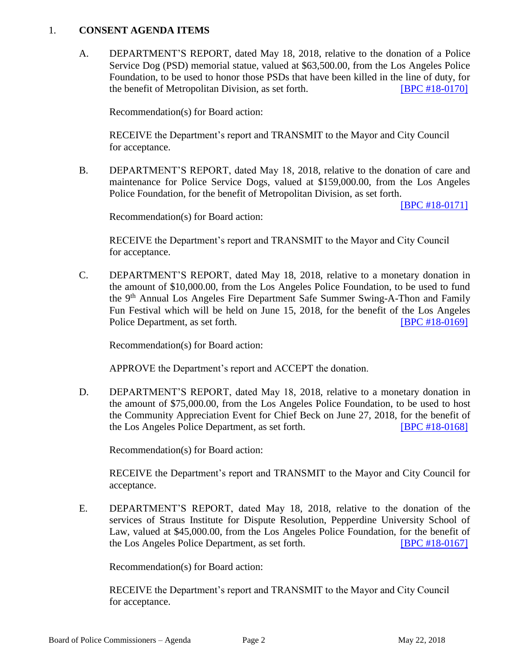#### 1. **CONSENT AGENDA ITEMS**

A. DEPARTMENT'S REPORT, dated May 18, 2018, relative to the donation of a Police Service Dog (PSD) memorial statue, valued at \$63,500.00, from the Los Angeles Police Foundation, to be used to honor those PSDs that have been killed in the line of duty, for the benefit of Metropolitan Division, as set forth. **[\[BPC #18-0170\]](http://www.lapdpolicecom.lacity.org/052218/BPC_18-0170.pdf)** 

Recommendation(s) for Board action:

RECEIVE the Department's report and TRANSMIT to the Mayor and City Council for acceptance.

B. DEPARTMENT'S REPORT, dated May 18, 2018, relative to the donation of care and maintenance for Police Service Dogs, valued at \$159,000.00, from the Los Angeles Police Foundation, for the benefit of Metropolitan Division, as set forth.

[\[BPC #18-0171\]](http://www.lapdpolicecom.lacity.org/052218/BPC_18-0171.pdf)

Recommendation(s) for Board action:

RECEIVE the Department's report and TRANSMIT to the Mayor and City Council for acceptance.

C. DEPARTMENT'S REPORT, dated May 18, 2018, relative to a monetary donation in the amount of \$10,000.00, from the Los Angeles Police Foundation, to be used to fund the 9th Annual Los Angeles Fire Department Safe Summer Swing-A-Thon and Family Fun Festival which will be held on June 15, 2018, for the benefit of the Los Angeles Police Department, as set forth. **IBPC #18-0169** 

Recommendation(s) for Board action:

APPROVE the Department's report and ACCEPT the donation.

D. DEPARTMENT'S REPORT, dated May 18, 2018, relative to a monetary donation in the amount of \$75,000.00, from the Los Angeles Police Foundation, to be used to host the Community Appreciation Event for Chief Beck on June 27, 2018, for the benefit of the Los Angeles Police Department, as set forth. [\[BPC #18-0168\]](http://www.lapdpolicecom.lacity.org/052218/BPC_18-0168.pdf)

Recommendation(s) for Board action:

RECEIVE the Department's report and TRANSMIT to the Mayor and City Council for acceptance.

E. DEPARTMENT'S REPORT, dated May 18, 2018, relative to the donation of the services of Straus Institute for Dispute Resolution, Pepperdine University School of Law, valued at \$45,000.00, from the Los Angeles Police Foundation, for the benefit of the Los Angeles Police Department, as set forth. [\[BPC #18-0167\]](http://www.lapdpolicecom.lacity.org/052218/BPC_18-0167.pdf)

Recommendation(s) for Board action:

RECEIVE the Department's report and TRANSMIT to the Mayor and City Council for acceptance.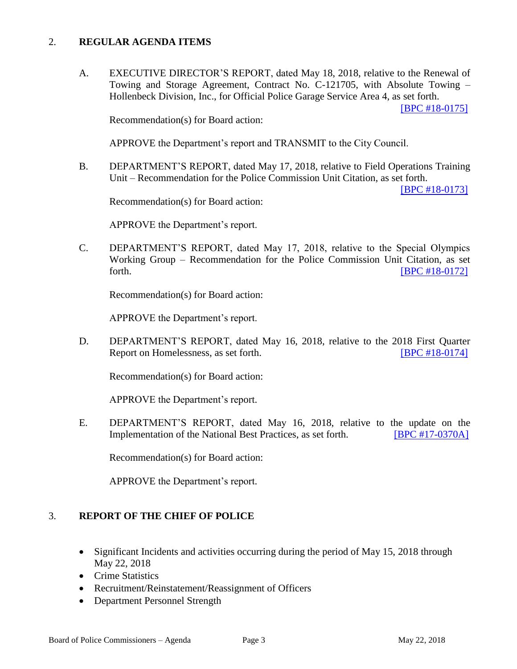# 2. **REGULAR AGENDA ITEMS**

A. EXECUTIVE DIRECTOR'S REPORT, dated May 18, 2018, relative to the Renewal of Towing and Storage Agreement, Contract No. C-121705, with Absolute Towing – Hollenbeck Division, Inc., for Official Police Garage Service Area 4, as set forth.

[\[BPC #18-0175\]](http://www.lapdpolicecom.lacity.org/052218/BPC_18-0175.pdf)

Recommendation(s) for Board action:

APPROVE the Department's report and TRANSMIT to the City Council.

B. DEPARTMENT'S REPORT, dated May 17, 2018, relative to Field Operations Training Unit – Recommendation for the Police Commission Unit Citation, as set forth.

[\[BPC #18-0173\]](http://www.lapdpolicecom.lacity.org/052218/BPC_18-0173.pdf)

Recommendation(s) for Board action:

APPROVE the Department's report.

C. DEPARTMENT'S REPORT, dated May 17, 2018, relative to the Special Olympics Working Group – Recommendation for the Police Commission Unit Citation, as set forth. **IBPC #18-0172** 

Recommendation(s) for Board action:

APPROVE the Department's report.

D. DEPARTMENT'S REPORT, dated May 16, 2018, relative to the 2018 First Quarter Report on Homelessness, as set forth. [\[BPC #18-0174\]](http://www.lapdpolicecom.lacity.org/052218/BPC_18-0174.pdf)

Recommendation(s) for Board action:

APPROVE the Department's report.

E. DEPARTMENT'S REPORT, dated May 16, 2018, relative to the update on the Implementation of the National Best Practices, as set forth. [\[BPC #17-0370A\]](http://www.lapdpolicecom.lacity.org/052218/BPC_17-0370A.pdf)

Recommendation(s) for Board action:

APPROVE the Department's report.

#### 3. **REPORT OF THE CHIEF OF POLICE**

- Significant Incidents and activities occurring during the period of May 15, 2018 through May 22, 2018
- Crime Statistics
- Recruitment/Reinstatement/Reassignment of Officers
- Department Personnel Strength